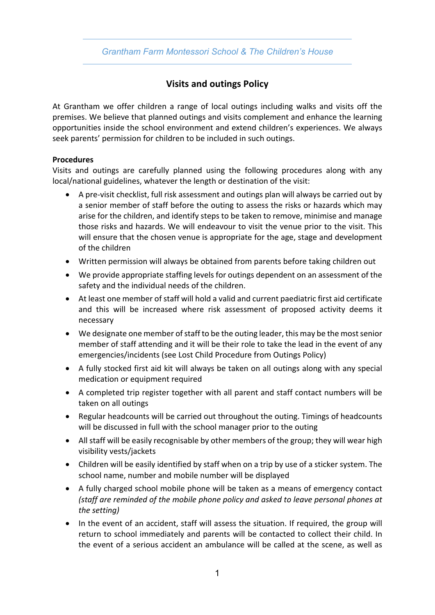# *Grantham Farm Montessori School & The Children's House*

# **Visits and outings Policy**

At Grantham we offer children a range of local outings including walks and visits off the premises. We believe that planned outings and visits complement and enhance the learning opportunities inside the school environment and extend children's experiences. We always seek parents' permission for children to be included in such outings.

### **Procedures**

Visits and outings are carefully planned using the following procedures along with any local/national guidelines, whatever the length or destination of the visit:

- A pre-visit checklist, full risk assessment and outings plan will always be carried out by a senior member of staff before the outing to assess the risks or hazards which may arise for the children, and identify steps to be taken to remove, minimise and manage those risks and hazards. We will endeavour to visit the venue prior to the visit. This will ensure that the chosen venue is appropriate for the age, stage and development of the children
- Written permission will always be obtained from parents before taking children out
- We provide appropriate staffing levels for outings dependent on an assessment of the safety and the individual needs of the children.
- At least one member of staff will hold a valid and current paediatric first aid certificate and this will be increased where risk assessment of proposed activity deems it necessary
- We designate one member of staff to be the outing leader, this may be the most senior member of staff attending and it will be their role to take the lead in the event of any emergencies/incidents (see Lost Child Procedure from Outings Policy)
- A fully stocked first aid kit will always be taken on all outings along with any special medication or equipment required
- A completed trip register together with all parent and staff contact numbers will be taken on all outings
- Regular headcounts will be carried out throughout the outing. Timings of headcounts will be discussed in full with the school manager prior to the outing
- All staff will be easily recognisable by other members of the group; they will wear high visibility vests/jackets
- Children will be easily identified by staff when on a trip by use of a sticker system. The school name, number and mobile number will be displayed
- A fully charged school mobile phone will be taken as a means of emergency contact *(staff are reminded of the mobile phone policy and asked to leave personal phones at the setting)*
- In the event of an accident, staff will assess the situation. If required, the group will return to school immediately and parents will be contacted to collect their child. In the event of a serious accident an ambulance will be called at the scene, as well as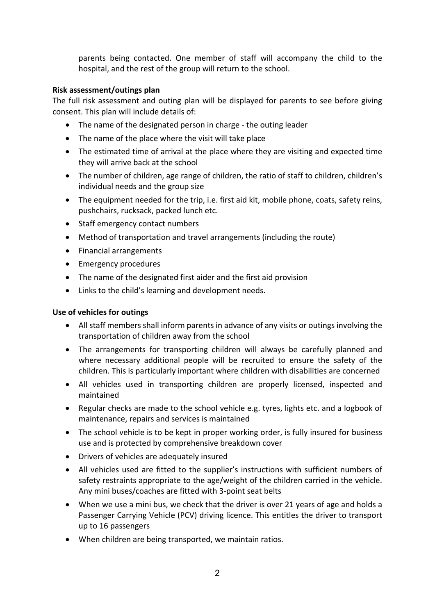parents being contacted. One member of staff will accompany the child to the hospital, and the rest of the group will return to the school.

### **Risk assessment/outings plan**

The full risk assessment and outing plan will be displayed for parents to see before giving consent. This plan will include details of:

- The name of the designated person in charge the outing leader
- The name of the place where the visit will take place
- The estimated time of arrival at the place where they are visiting and expected time they will arrive back at the school
- The number of children, age range of children, the ratio of staff to children, children's individual needs and the group size
- The equipment needed for the trip, i.e. first aid kit, mobile phone, coats, safety reins, pushchairs, rucksack, packed lunch etc.
- Staff emergency contact numbers
- Method of transportation and travel arrangements (including the route)
- Financial arrangements
- Emergency procedures
- The name of the designated first aider and the first aid provision
- Links to the child's learning and development needs.

### **Use of vehicles for outings**

- All staff members shall inform parents in advance of any visits or outings involving the transportation of children away from the school
- The arrangements for transporting children will always be carefully planned and where necessary additional people will be recruited to ensure the safety of the children. This is particularly important where children with disabilities are concerned
- All vehicles used in transporting children are properly licensed, inspected and maintained
- Regular checks are made to the school vehicle e.g. tyres, lights etc. and a logbook of maintenance, repairs and services is maintained
- The school vehicle is to be kept in proper working order, is fully insured for business use and is protected by comprehensive breakdown cover
- Drivers of vehicles are adequately insured
- All vehicles used are fitted to the supplier's instructions with sufficient numbers of safety restraints appropriate to the age/weight of the children carried in the vehicle. Any mini buses/coaches are fitted with 3-point seat belts
- When we use a mini bus, we check that the driver is over 21 years of age and holds a Passenger Carrying Vehicle (PCV) driving licence. This entitles the driver to transport up to 16 passengers
- When children are being transported, we maintain ratios.